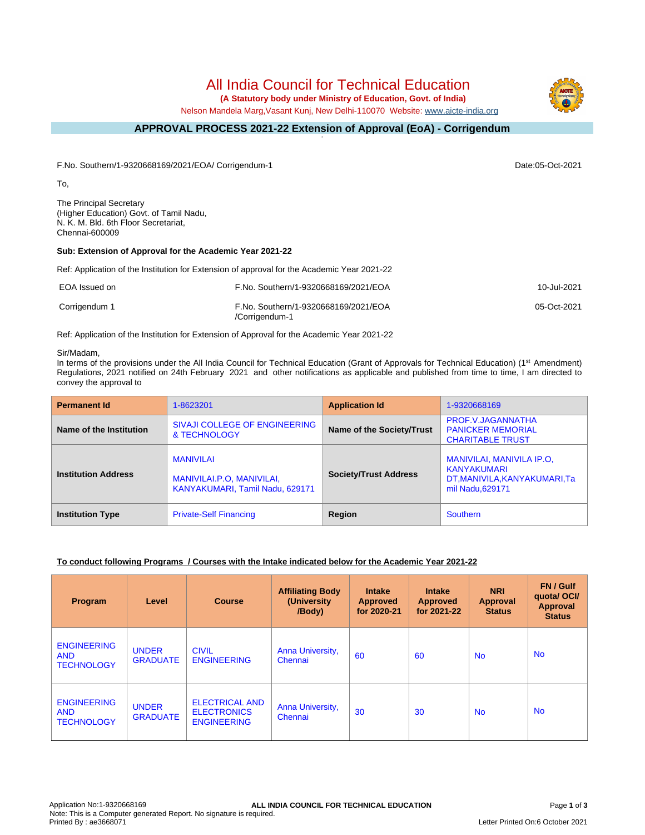# All India Council for Technical Education

 **(A Statutory body under Ministry of Education, Govt. of India)**

Nelson Mandela Marg,Vasant Kunj, New Delhi-110070 Website: [www.aicte-india.org](http://www.aicte-india.org)

#### **APPROVAL PROCESS 2021-22 Extension of Approval (EoA) - Corrigendum -**

F.No. Southern/1-9320668169/2021/EOA/ Corrigendum-1 Date:05-Oct-2021

To,

The Principal Secretary (Higher Education) Govt. of Tamil Nadu, N. K. M. Bld. 6th Floor Secretariat, Chennai-600009

### **Sub: Extension of Approval for the Academic Year 2021-22**

Ref: Application of the Institution for Extension of approval for the Academic Year 2021-22

| EOA Issued on | F.No. Southern/1-9320668169/2021/EOA                   | 10-Jul-2021 |
|---------------|--------------------------------------------------------|-------------|
| Corrigendum 1 | F.No. Southern/1-9320668169/2021/EOA<br>/Corrigendum-1 | 05-Oct-2021 |

Ref: Application of the Institution for Extension of Approval for the Academic Year 2021-22

#### Sir/Madam,

In terms of the provisions under the All India Council for Technical Education (Grant of Approvals for Technical Education) (1<sup>st</sup> Amendment) Regulations, 2021 notified on 24th February 2021 and other notifications as applicable and published from time to time, I am directed to convey the approval to

| <b>Permanent Id</b>        | 1-8623201                                                                        | <b>Application Id</b>        | 1-9320668169                                                                                 |
|----------------------------|----------------------------------------------------------------------------------|------------------------------|----------------------------------------------------------------------------------------------|
| Name of the Institution    | SIVAJI COLLEGE OF ENGINEERING<br>& TECHNOLOGY                                    | Name of the Society/Trust    | PROF.V.JAGANNATHA<br><b>PANICKER MEMORIAL</b><br><b>CHARITABLE TRUST</b>                     |
| <b>Institution Address</b> | <b>MANIVILAI</b><br>MANIVILAI.P.O. MANIVILAI.<br>KANYAKUMARI, Tamil Nadu, 629171 | <b>Society/Trust Address</b> | MANIVILAI, MANIVILA IP.O.<br>KANYAKUMARI<br>DT, MANIVILA, KANYAKUMARI, Ta<br>mil Nadu.629171 |
| <b>Institution Type</b>    | <b>Private-Self Financing</b>                                                    | Region                       | Southern                                                                                     |

# **To conduct following Programs / Courses with the Intake indicated below for the Academic Year 2021-22**

| Program                                               | Level                           | <b>Course</b>                                                     | <b>Affiliating Body</b><br>(University<br>/Body) | <b>Intake</b><br><b>Approved</b><br>for 2020-21 | <b>Intake</b><br><b>Approved</b><br>for 2021-22 | <b>NRI</b><br>Approval<br><b>Status</b> | FN / Gulf<br>quotal OCI/<br><b>Approval</b><br><b>Status</b> |
|-------------------------------------------------------|---------------------------------|-------------------------------------------------------------------|--------------------------------------------------|-------------------------------------------------|-------------------------------------------------|-----------------------------------------|--------------------------------------------------------------|
| <b>ENGINEERING</b><br><b>AND</b><br><b>TECHNOLOGY</b> | <b>UNDER</b><br><b>GRADUATE</b> | <b>CIVIL</b><br><b>ENGINEERING</b>                                | Anna University,<br>Chennai                      | 60                                              | 60                                              | <b>No</b>                               | <b>No</b>                                                    |
| <b>ENGINEERING</b><br><b>AND</b><br><b>TECHNOLOGY</b> | <b>UNDER</b><br><b>GRADUATE</b> | <b>ELECTRICAL AND</b><br><b>ELECTRONICS</b><br><b>ENGINEERING</b> | Anna University,<br>Chennai                      | 30                                              | 30                                              | <b>No</b>                               | <b>No</b>                                                    |

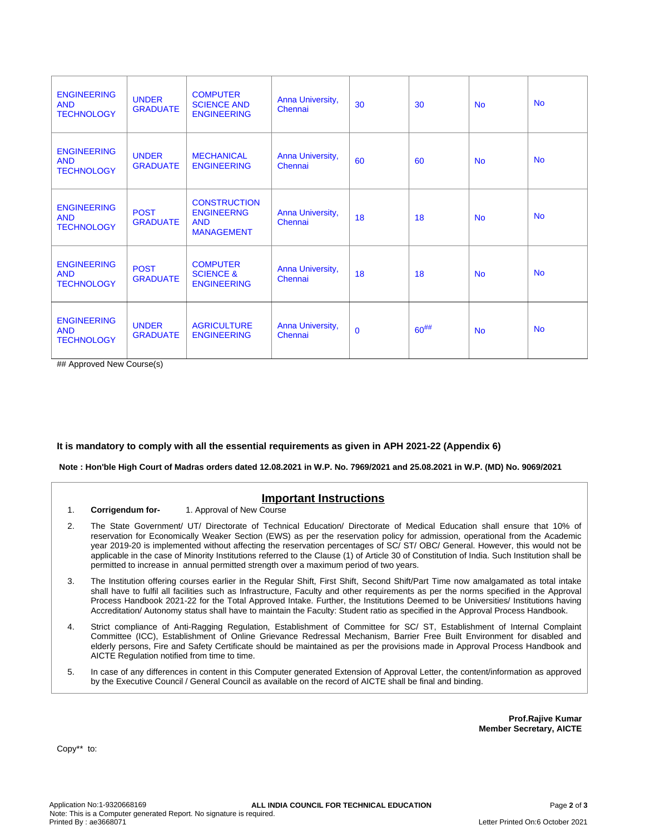| <b>ENGINEERING</b><br><b>AND</b><br><b>TECHNOLOGY</b> | <b>UNDER</b><br><b>GRADUATE</b> | <b>COMPUTER</b><br><b>SCIENCE AND</b><br><b>ENGINEERING</b>                 | Anna University,<br>Chennai | 30           | 30        | <b>No</b> | <b>No</b> |
|-------------------------------------------------------|---------------------------------|-----------------------------------------------------------------------------|-----------------------------|--------------|-----------|-----------|-----------|
| <b>ENGINEERING</b><br><b>AND</b><br><b>TECHNOLOGY</b> | <b>UNDER</b><br><b>GRADUATE</b> | <b>MECHANICAL</b><br><b>ENGINEERING</b>                                     | Anna University,<br>Chennai | 60           | 60        | <b>No</b> | <b>No</b> |
| <b>ENGINEERING</b><br><b>AND</b><br><b>TECHNOLOGY</b> | <b>POST</b><br><b>GRADUATE</b>  | <b>CONSTRUCTION</b><br><b>ENGINEERNG</b><br><b>AND</b><br><b>MANAGEMENT</b> | Anna University,<br>Chennai | 18           | 18        | <b>No</b> | <b>No</b> |
| <b>ENGINEERING</b><br><b>AND</b><br><b>TECHNOLOGY</b> | <b>POST</b><br><b>GRADUATE</b>  | <b>COMPUTER</b><br><b>SCIENCE &amp;</b><br><b>ENGINEERING</b>               | Anna University,<br>Chennai | 18           | 18        | <b>No</b> | <b>No</b> |
| <b>ENGINEERING</b><br><b>AND</b><br><b>TECHNOLOGY</b> | <b>UNDER</b><br><b>GRADUATE</b> | <b>AGRICULTURE</b><br><b>ENGINEERING</b>                                    | Anna University,<br>Chennai | $\mathbf{0}$ | $60^{##}$ | <b>No</b> | <b>No</b> |

## Approved New Course(s)

# **It is mandatory to comply with all the essential requirements as given in APH 2021-22 (Appendix 6)**

 **Note : Hon'ble High Court of Madras orders dated 12.08.2021 in W.P. No. 7969/2021 and 25.08.2021 in W.P. (MD) No. 9069/2021** 

| 1. | <b>Important Instructions</b><br>1. Approval of New Course<br>Corrigendum for-                                                                                                                                                                                                                                                                                                                                                                                                                                                                                                                                                  |
|----|---------------------------------------------------------------------------------------------------------------------------------------------------------------------------------------------------------------------------------------------------------------------------------------------------------------------------------------------------------------------------------------------------------------------------------------------------------------------------------------------------------------------------------------------------------------------------------------------------------------------------------|
| 2. | The State Government/ UT/ Directorate of Technical Education/ Directorate of Medical Education shall ensure that 10% of<br>reservation for Economically Weaker Section (EWS) as per the reservation policy for admission, operational from the Academic<br>year 2019-20 is implemented without affecting the reservation percentages of SC/ST/OBC/General. However, this would not be<br>applicable in the case of Minority Institutions referred to the Clause (1) of Article 30 of Constitution of India. Such Institution shall be<br>permitted to increase in annual permitted strength over a maximum period of two years. |
| 3. | The Institution offering courses earlier in the Regular Shift, First Shift, Second Shift/Part Time now amalgamated as total intake<br>shall have to fulfil all facilities such as Infrastructure, Faculty and other requirements as per the norms specified in the Approval<br>Process Handbook 2021-22 for the Total Approved Intake. Further, the Institutions Deemed to be Universities/ Institutions having<br>Accreditation/Autonomy status shall have to maintain the Faculty: Student ratio as specified in the Approval Process Handbook.                                                                               |
| 4. | Strict compliance of Anti-Ragging Regulation, Establishment of Committee for SC/ST, Establishment of Internal Complaint<br>Committee (ICC), Establishment of Online Grievance Redressal Mechanism, Barrier Free Built Environment for disabled and<br>elderly persons, Fire and Safety Certificate should be maintained as per the provisions made in Approval Process Handbook and<br>AICTE Regulation notified from time to time.                                                                                                                                                                                             |
| 5. | In case of any differences in content in this Computer generated Extension of Approval Letter, the content/information as approved<br>by the Executive Council / General Council as available on the record of AICTE shall be final and binding.                                                                                                                                                                                                                                                                                                                                                                                |
|    |                                                                                                                                                                                                                                                                                                                                                                                                                                                                                                                                                                                                                                 |

**Prof.Rajive Kumar Member Secretary, AICTE**

Copy\*\* to: